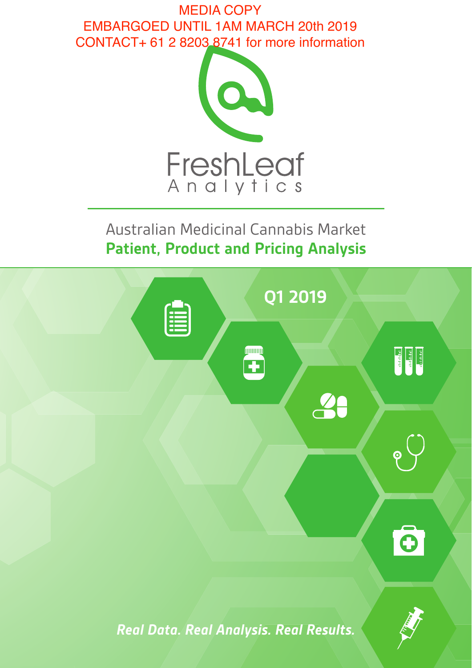MEDIA COPY EMBARGOED UNTIL 1AM MARCH 20th 2019 CONTACT+ 61 2 8203 8741 for more information



Australian Medicinal Cannabis Market **Patient, Product and Pricing Analysis**

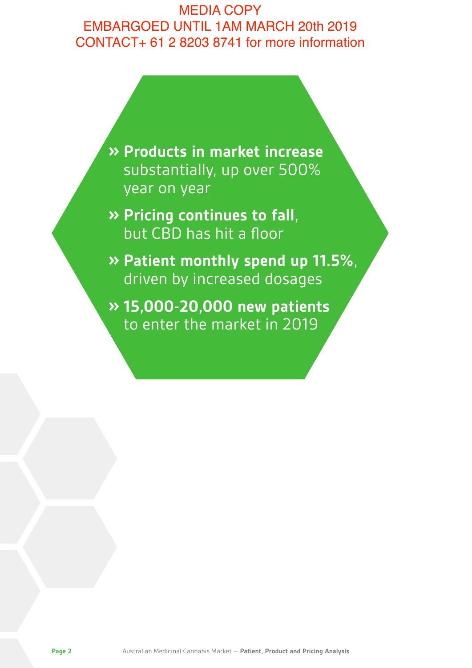# MEDIA COPY EMBARGOED UNTIL 1AM MARCH 20th 2019 CONTACT+ 61 2 8203 8741 for more information

**» Products in market increase** substantially, up over 500% year on year

**» Pricing continues to fall**, but CBD has hit a floor

**» Patient monthly spend up 11.5%**, driven by increased dosages

**» 15,000-20,000 new patients** to enter the market in 2019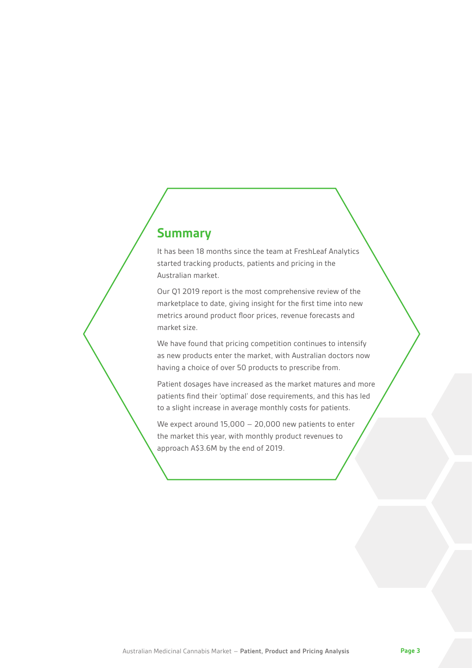### **Summary**

It has been 18 months since the team at FreshLeaf Analytics started tracking products, patients and pricing in the Australian market.

Our Q1 2019 report is the most comprehensive review of the marketplace to date, giving insight for the first time into new metrics around product floor prices, revenue forecasts and market size.

We have found that pricing competition continues to intensify as new products enter the market, with Australian doctors now having a choice of over 50 products to prescribe from.

Patient dosages have increased as the market matures and more patients find their 'optimal' dose requirements, and this has led to a slight increase in average monthly costs for patients.

We expect around 15,000 – 20,000 new patients to enter the market this year, with monthly product revenues to approach A\$3.6M by the end of 2019.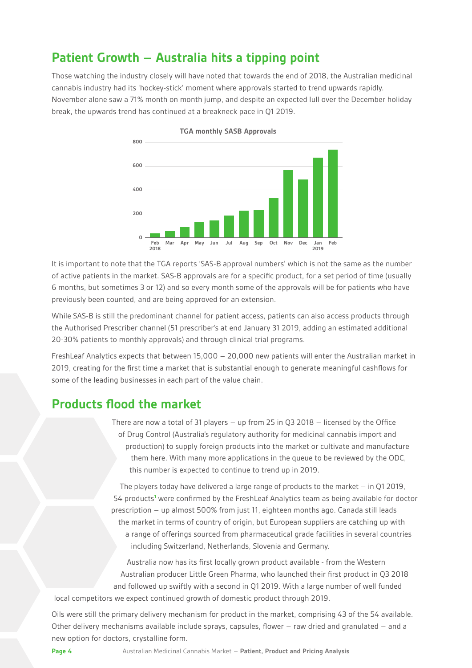#### **Patient Growth – Australia hits a tipping point**

Those watching the industry closely will have noted that towards the end of 2018, the Australian medicinal cannabis industry had its 'hockey-stick' moment where approvals started to trend upwards rapidly. November alone saw a 71% month on month jump, and despite an expected lull over the December holiday break, the upwards trend has continued at a breakneck pace in Q1 2019.



**TGA monthly SASB Approvals**

It is important to note that the TGA reports 'SAS-B approval numbers' which is not the same as the number of active patients in the market. SAS-B approvals are for a specific product, for a set period of time (usually 6 months, but sometimes 3 or 12) and so every month some of the approvals will be for patients who have previously been counted, and are being approved for an extension.

While SAS-B is still the predominant channel for patient access, patients can also access products through the Authorised Prescriber channel (51 prescriber's at end January 31 2019, adding an estimated additional 20-30% patients to monthly approvals) and through clinical trial programs.

FreshLeaf Analytics expects that between 15,000 – 20,000 new patients will enter the Australian market in 2019, creating for the first time a market that is substantial enough to generate meaningful cashflows for some of the leading businesses in each part of the value chain.

#### **Products flood the market**

There are now a total of 31 players – up from 25 in Q3 2018 – licensed by the Office of Drug Control (Australia's regulatory authority for medicinal cannabis import and production) to supply foreign products into the market or cultivate and manufacture them here. With many more applications in the queue to be reviewed by the ODC, this number is expected to continue to trend up in 2019.

The players today have delivered a large range of products to the market – in Q1 2019, 54 products<sup>1</sup> were confirmed by the FreshLeaf Analytics team as being available for doctor prescription – up almost 500% from just 11, eighteen months ago. Canada still leads the market in terms of country of origin, but European suppliers are catching up with a range of offerings sourced from pharmaceutical grade facilities in several countries including Switzerland, Netherlands, Slovenia and Germany.

Australia now has its first locally grown product available - from the Western Australian producer Little Green Pharma, who launched their first product in Q3 2018 and followed up swiftly with a second in Q1 2019. With a large number of well funded local competitors we expect continued growth of domestic product through 2019.

Oils were still the primary delivery mechanism for product in the market, comprising 43 of the 54 available. Other delivery mechanisms available include sprays, capsules, flower – raw dried and granulated – and a new option for doctors, crystalline form.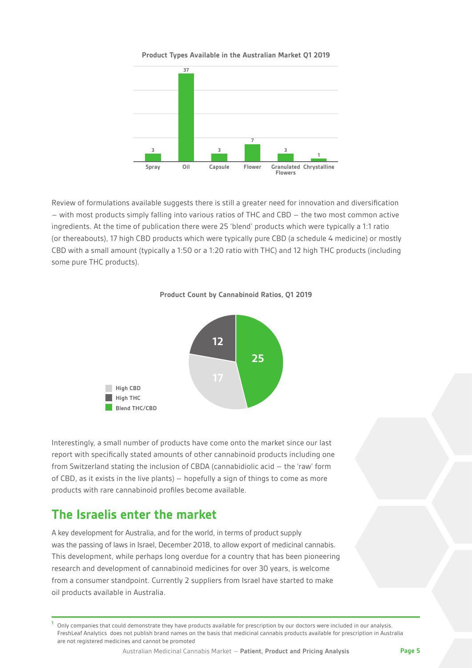**Product Types Available in the Australian Market Q1 2019**



Review of formulations available suggests there is still a greater need for innovation and diversification – with most products simply falling into various ratios of THC and CBD – the two most common active ingredients. At the time of publication there were 25 'blend' products which were typically a 1:1 ratio (or thereabouts), 17 high CBD products which were typically pure CBD (a schedule 4 medicine) or mostly CBD with a small amount (typically a 1:50 or a 1:20 ratio with THC) and 12 high THC products (including some pure THC products).





Interestingly, a small number of products have come onto the market since our last report with specifically stated amounts of other cannabinoid products including one from Switzerland stating the inclusion of CBDA (cannabidiolic acid – the 'raw' form of CBD, as it exists in the live plants) – hopefully a sign of things to come as more products with rare cannabinoid profiles become available.

#### **The Israelis enter the market**

A key development for Australia, and for the world, in terms of product supply was the passing of laws in Israel, December 2018, to allow export of medicinal cannabis. This development, while perhaps long overdue for a country that has been pioneering research and development of cannabinoid medicines for over 30 years, is welcome from a consumer standpoint. Currently 2 suppliers from Israel have started to make oil products available in Australia.

**<sup>1</sup>** Only companies that could demonstrate they have products available for prescription by our doctors were included in our analysis. FreshLeaf Analytics does not publish brand names on the basis that medicinal cannabis products available for prescription in Australia are not registered medicines and cannot be promoted

Australian Medicinal Cannabis Market – **Patient, Product and Pricing Analysis Page 5**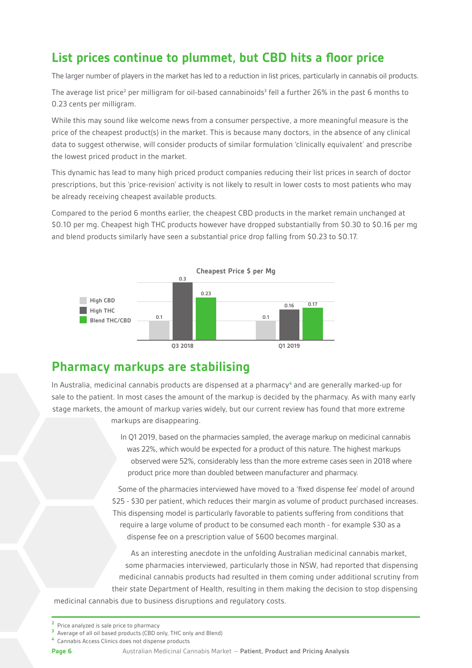### **List prices continue to plummet, but CBD hits a floor price**

The larger number of players in the market has led to a reduction in list prices, particularly in cannabis oil products.

The average list price<sup>2</sup> per milligram for oil-based cannabinoids<sup>3</sup> fell a further 26% in the past 6 months to 0.23 cents per milligram.

While this may sound like welcome news from a consumer perspective, a more meaningful measure is the price of the cheapest product(s) in the market. This is because many doctors, in the absence of any clinical data to suggest otherwise, will consider products of similar formulation 'clinically equivalent' and prescribe the lowest priced product in the market.

This dynamic has lead to many high priced product companies reducing their list prices in search of doctor prescriptions, but this 'price-revision' activity is not likely to result in lower costs to most patients who may be already receiving cheapest available products.

Compared to the period 6 months earlier, the cheapest CBD products in the market remain unchanged at \$0.10 per mg. Cheapest high THC products however have dropped substantially from \$0.30 to \$0.16 per mg and blend products similarly have seen a substantial price drop falling from \$0.23 to \$0.17.



#### **Pharmacy markups are stabilising**

In Australia, medicinal cannabis products are dispensed at a pharmacy<sup>4</sup> and are generally marked-up for sale to the patient. In most cases the amount of the markup is decided by the pharmacy. As with many early stage markets, the amount of markup varies widely, but our current review has found that more extreme markups are disappearing.

> In Q1 2019, based on the pharmacies sampled, the average markup on medicinal cannabis was 22%, which would be expected for a product of this nature. The highest markups observed were 52%, considerably less than the more extreme cases seen in 2018 where product price more than doubled between manufacturer and pharmacy.

Some of the pharmacies interviewed have moved to a 'fixed dispense fee' model of around \$25 - \$30 per patient, which reduces their margin as volume of product purchased increases. This dispensing model is particularly favorable to patients suffering from conditions that require a large volume of product to be consumed each month - for example \$30 as a dispense fee on a prescription value of \$600 becomes marginal.

As an interesting anecdote in the unfolding Australian medicinal cannabis market, some pharmacies interviewed, particularly those in NSW, had reported that dispensing medicinal cannabis products had resulted in them coming under additional scrutiny from their state Department of Health, resulting in them making the decision to stop dispensing medicinal cannabis due to business disruptions and regulatory costs.

**<sup>3</sup>** Average of all oil based products (CBD only, THC only and Blend)

**Page 6** Australian Medicinal Cannabis Market – **Patient, Product and Pricing Analysis**

**<sup>2</sup>** Price analyzed is sale price to pharmacy

**<sup>4</sup>** Cannabis Access Clinics does not dispense products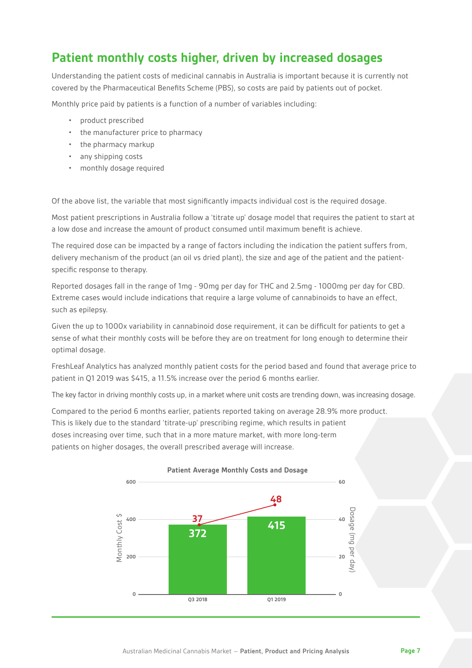### **Patient monthly costs higher, driven by increased dosages**

Understanding the patient costs of medicinal cannabis in Australia is important because it is currently not covered by the Pharmaceutical Benefits Scheme (PBS), so costs are paid by patients out of pocket.

Monthly price paid by patients is a function of a number of variables including:

- product prescribed
- the manufacturer price to pharmacy
- the pharmacy markup
- any shipping costs
- monthly dosage required

Of the above list, the variable that most significantly impacts individual cost is the required dosage.

Most patient prescriptions in Australia follow a 'titrate up' dosage model that requires the patient to start at a low dose and increase the amount of product consumed until maximum benefit is achieve.

The required dose can be impacted by a range of factors including the indication the patient suffers from, delivery mechanism of the product (an oil vs dried plant), the size and age of the patient and the patientspecific response to therapy.

Reported dosages fall in the range of 1mg - 90mg per day for THC and 2.5mg - 1000mg per day for CBD. Extreme cases would include indications that require a large volume of cannabinoids to have an effect, such as epilepsy.

Given the up to 1000x variability in cannabinoid dose requirement, it can be difficult for patients to get a sense of what their monthly costs will be before they are on treatment for long enough to determine their optimal dosage.

FreshLeaf Analytics has analyzed monthly patient costs for the period based and found that average price to patient in Q1 2019 was \$415, a 11.5% increase over the period 6 months earlier.

The key factor in driving monthly costs up, in a market where unit costs are trending down, was increasing dosage.

Compared to the period 6 months earlier, patients reported taking on average 28.9% more product. This is likely due to the standard 'titrate-up' prescribing regime, which results in patient doses increasing over time, such that in a more mature market, with more long-term patients on higher dosages, the overall prescribed average will increase.



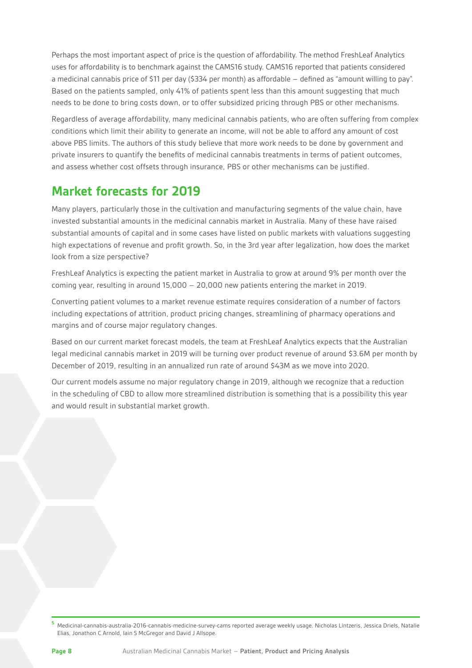Perhaps the most important aspect of price is the question of affordability. The method FreshLeaf Analytics uses for affordability is to benchmark against the CAMS16 study. CAMS16 reported that patients considered a medicinal cannabis price of \$11 per day (\$334 per month) as affordable – defined as "amount willing to pay". Based on the patients sampled, only 41% of patients spent less than this amount suggesting that much needs to be done to bring costs down, or to offer subsidized pricing through PBS or other mechanisms.

Regardless of average affordability, many medicinal cannabis patients, who are often suffering from complex conditions which limit their ability to generate an income, will not be able to afford any amount of cost above PBS limits. The authors of this study believe that more work needs to be done by government and private insurers to quantify the benefits of medicinal cannabis treatments in terms of patient outcomes, and assess whether cost offsets through insurance, PBS or other mechanisms can be justified.

# **Market forecasts for 2019**

Many players, particularly those in the cultivation and manufacturing segments of the value chain, have invested substantial amounts in the medicinal cannabis market in Australia. Many of these have raised substantial amounts of capital and in some cases have listed on public markets with valuations suggesting high expectations of revenue and profit growth. So, in the 3rd year after legalization, how does the market look from a size perspective?

FreshLeaf Analytics is expecting the patient market in Australia to grow at around 9% per month over the coming year, resulting in around 15,000 – 20,000 new patients entering the market in 2019.

Converting patient volumes to a market revenue estimate requires consideration of a number of factors including expectations of attrition, product pricing changes, streamlining of pharmacy operations and margins and of course major regulatory changes.

Based on our current market forecast models, the team at FreshLeaf Analytics expects that the Australian legal medicinal cannabis market in 2019 will be turning over product revenue of around \$3.6M per month by December of 2019, resulting in an annualized run rate of around \$43M as we move into 2020.

Our current models assume no major regulatory change in 2019, although we recognize that a reduction in the scheduling of CBD to allow more streamlined distribution is something that is a possibility this year and would result in substantial market growth.

**<sup>5</sup>** Medicinal-cannabis-australia-2016-cannabis-medicine-survey-cams reported average weekly usage. Nicholas Lintzeris, Jessica Driels, Natalie Elias, Jonathon C Arnold, Iain S McGregor and David J Allsope.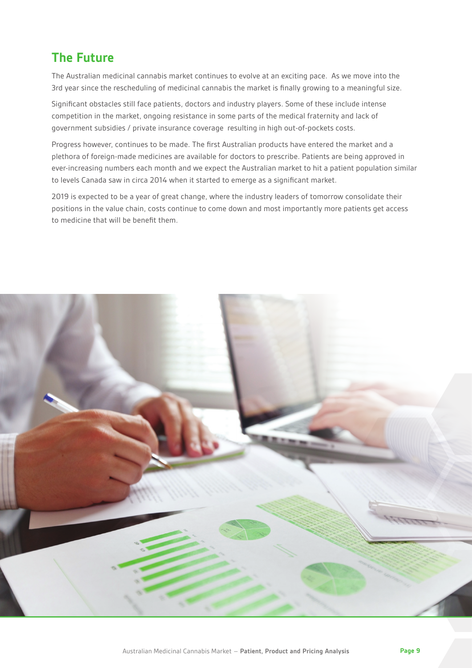# **The Future**

The Australian medicinal cannabis market continues to evolve at an exciting pace. As we move into the 3rd year since the rescheduling of medicinal cannabis the market is finally growing to a meaningful size.

Significant obstacles still face patients, doctors and industry players. Some of these include intense competition in the market, ongoing resistance in some parts of the medical fraternity and lack of government subsidies / private insurance coverage resulting in high out-of-pockets costs.

Progress however, continues to be made. The first Australian products have entered the market and a plethora of foreign-made medicines are available for doctors to prescribe. Patients are being approved in ever-increasing numbers each month and we expect the Australian market to hit a patient population similar to levels Canada saw in circa 2014 when it started to emerge as a significant market.

2019 is expected to be a year of great change, where the industry leaders of tomorrow consolidate their positions in the value chain, costs continue to come down and most importantly more patients get access to medicine that will be benefit them.

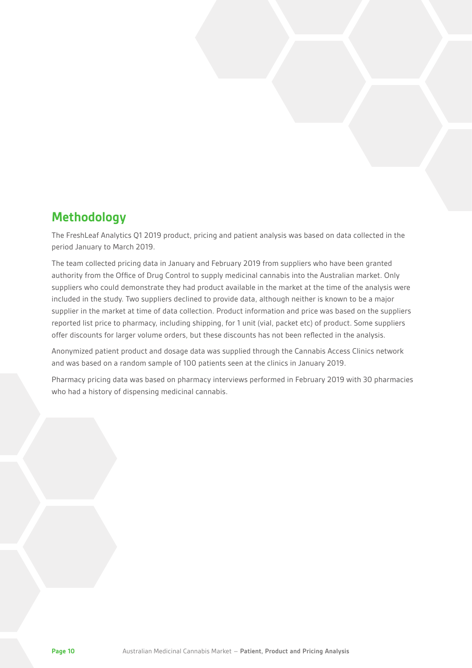#### **Methodology**

The FreshLeaf Analytics Q1 2019 product, pricing and patient analysis was based on data collected in the period January to March 2019.

The team collected pricing data in January and February 2019 from suppliers who have been granted authority from the Office of Drug Control to supply medicinal cannabis into the Australian market. Only suppliers who could demonstrate they had product available in the market at the time of the analysis were included in the study. Two suppliers declined to provide data, although neither is known to be a major supplier in the market at time of data collection. Product information and price was based on the suppliers reported list price to pharmacy, including shipping, for 1 unit (vial, packet etc) of product. Some suppliers offer discounts for larger volume orders, but these discounts has not been reflected in the analysis.

Anonymized patient product and dosage data was supplied through the Cannabis Access Clinics network and was based on a random sample of 100 patients seen at the clinics in January 2019.

Pharmacy pricing data was based on pharmacy interviews performed in February 2019 with 30 pharmacies who had a history of dispensing medicinal cannabis.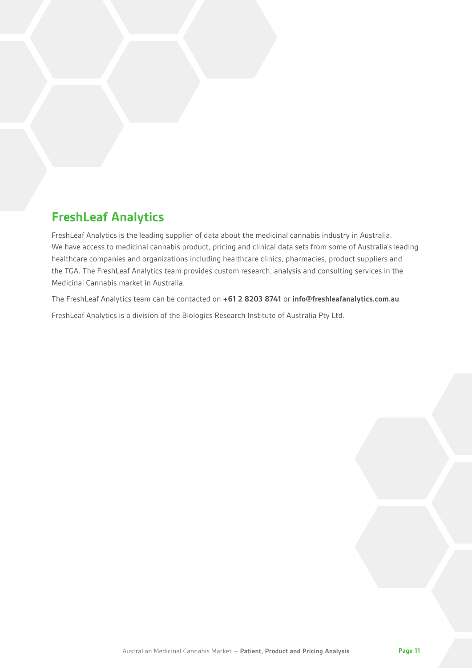### **FreshLeaf Analytics**

FreshLeaf Analytics is the leading supplier of data about the medicinal cannabis industry in Australia. We have access to medicinal cannabis product, pricing and clinical data sets from some of Australia's leading healthcare companies and organizations including healthcare clinics, pharmacies, product suppliers and the TGA. The FreshLeaf Analytics team provides custom research, analysis and consulting services in the Medicinal Cannabis market in Australia.

The FreshLeaf Analytics team can be contacted on **+61 2 8203 8741** or **info@freshleafanalytics.com.au** FreshLeaf Analytics is a division of the Biologics Research Institute of Australia Pty Ltd.